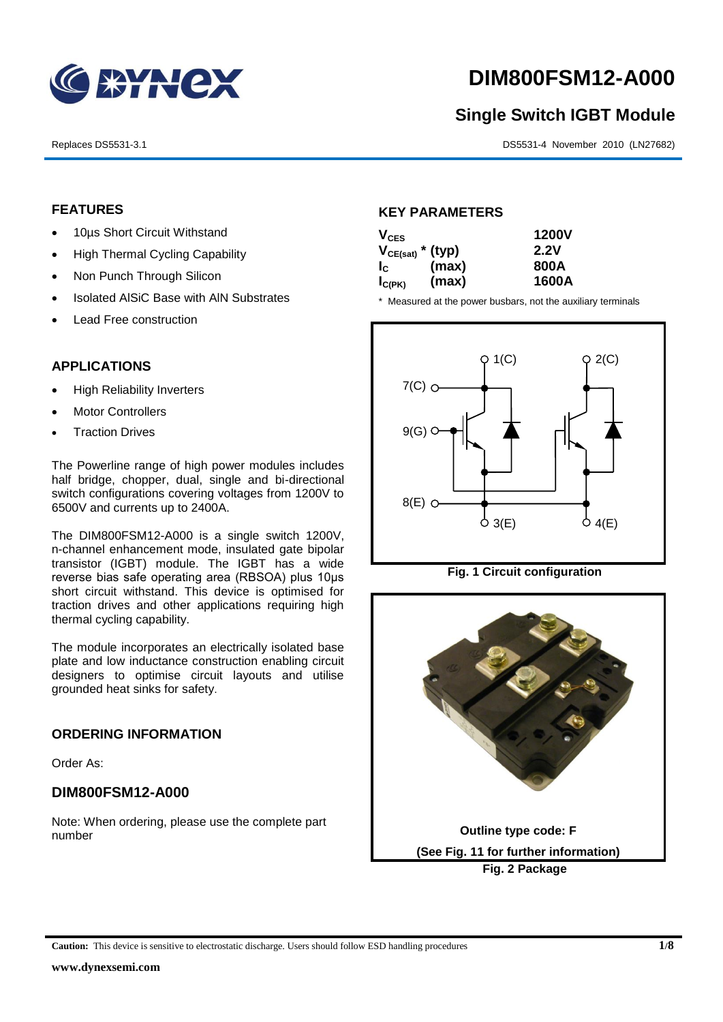

# **DIM800FSM12-A000**

# **Single Switch IGBT Module**

Replaces DS5531-3.1 DS5531-4 November 2010 (LN27682)

### **FEATURES**

- 10µs Short Circuit Withstand
- High Thermal Cycling Capability
- Non Punch Through Silicon
- Isolated AISiC Base with AIN Substrates
- Lead Free construction

## **APPLICATIONS**

- High Reliability Inverters
- Motor Controllers
- Traction Drives

The Powerline range of high power modules includes half bridge, chopper, dual, single and bi-directional switch configurations covering voltages from 1200V to 6500V and currents up to 2400A.

The DIM800FSM12-A000 is a single switch 1200V, n-channel enhancement mode, insulated gate bipolar transistor (IGBT) module. The IGBT has a wide reverse bias safe operating area (RBSOA) plus 10μs short circuit withstand. This device is optimised for traction drives and other applications requiring high thermal cycling capability.

The module incorporates an electrically isolated base plate and low inductance construction enabling circuit designers to optimise circuit layouts and utilise grounded heat sinks for safety.

#### **ORDERING INFORMATION**

Order As:

## **DIM800FSM12-A000**

Note: When ordering, please use the complete part number

#### **KEY PARAMETERS**

| $V_{CES}$             |       | <b>1200V</b> |
|-----------------------|-------|--------------|
| $V_{CE(sat)}$ * (typ) |       | 2.2V         |
| $I_{\rm c}$           | (max) | 800A         |
| $I_{C(PK)}$           | (max) | 1600A        |

\* Measured at the power busbars, not the auxiliary terminals





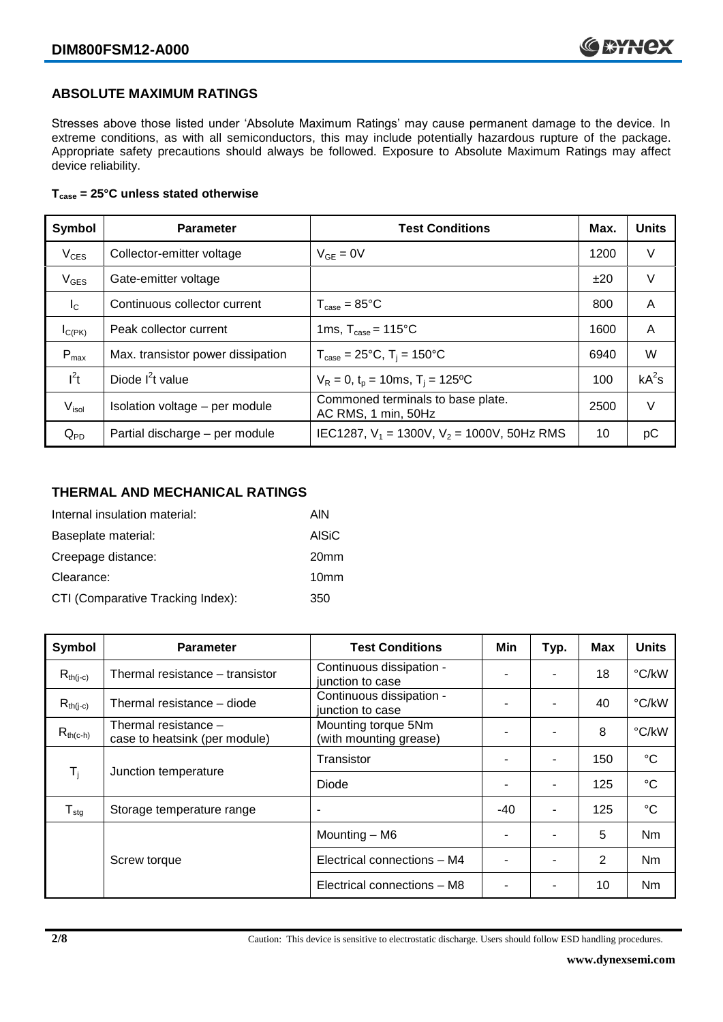## **ABSOLUTE MAXIMUM RATINGS**

Stresses above those listed under 'Absolute Maximum Ratings' may cause permanent damage to the device. In extreme conditions, as with all semiconductors, this may include potentially hazardous rupture of the package. Appropriate safety precautions should always be followed. Exposure to Absolute Maximum Ratings may affect device reliability.

#### **Tcase = 25°C unless stated otherwise**

| Symbol           | <b>Parameter</b>                  | <b>Test Conditions</b>                                   |      | <b>Units</b> |
|------------------|-----------------------------------|----------------------------------------------------------|------|--------------|
| $V_{CES}$        | Collector-emitter voltage         | $V_{GF} = 0V$                                            | 1200 | V            |
| $V_{GES}$        | Gate-emitter voltage              |                                                          | ±20  | V            |
| $I_{\rm C}$      | Continuous collector current      | $T_{\text{case}} = 85^{\circ}C$                          | 800  | A            |
| $I_{C(PK)}$      | Peak collector current            | 1ms, $T_{\text{case}} = 115^{\circ}$ C                   | 1600 | A            |
| $P_{\text{max}}$ | Max. transistor power dissipation | $T_{\text{case}} = 25^{\circ}C$ , $T_i = 150^{\circ}C$   | 6940 | W            |
| $I^2t$           | Diode $I^2t$ value                | $V_R = 0$ , $t_p = 10$ ms, $T_i = 125$ °C                | 100  | $kA^2s$      |
| $V_{\sf isol}$   | Isolation voltage - per module    | Commoned terminals to base plate.<br>AC RMS, 1 min, 50Hz | 2500 | V            |
| $Q_{PD}$         | Partial discharge - per module    | IEC1287, $V_1$ = 1300V, $V_2$ = 1000V, 50Hz RMS          | 10   | рC           |

#### **THERMAL AND MECHANICAL RATINGS**

| Internal insulation material:     | AIN              |
|-----------------------------------|------------------|
| Baseplate material:               | <b>AISiC</b>     |
| Creepage distance:                | 20 <sub>mm</sub> |
| Clearance:                        | 10 <sub>mm</sub> |
| CTI (Comparative Tracking Index): | 350              |

| Symbol                     | <b>Parameter</b>                                      | <b>Test Conditions</b>                        | Min | Typ. | Max | <b>Units</b>    |
|----------------------------|-------------------------------------------------------|-----------------------------------------------|-----|------|-----|-----------------|
| $R_{th(j-c)}$              | Thermal resistance – transistor                       | Continuous dissipation -<br>junction to case  |     |      | 18  | °C/kW           |
| $R_{th(i-c)}$              | Thermal resistance - diode                            | Continuous dissipation -<br>junction to case  |     |      | 40  | °C/kW           |
| $R_{th(c-h)}$              | Thermal resistance -<br>case to heatsink (per module) | Mounting torque 5Nm<br>(with mounting grease) | ٠   |      | 8   | °C/kW           |
| $\mathsf{T}_{\mathsf{i}}$  | Junction temperature                                  | Transistor                                    |     | ۰    | 150 | $^{\circ}C$     |
|                            |                                                       | Diode                                         | ٠   | ۰    | 125 | $\rm ^{\circ}C$ |
| ${\mathsf T}_{\text{stg}}$ | Storage temperature range                             | $\overline{\phantom{a}}$                      | -40 | ۰    | 125 | $^{\circ}C$     |
|                            |                                                       | Mounting - M6                                 |     |      | 5   | Nm              |
|                            | Screw torque                                          | Electrical connections - M4                   |     | ۰    | 2   | N <sub>m</sub>  |
|                            |                                                       | Electrical connections - M8                   |     |      | 10  | Nm              |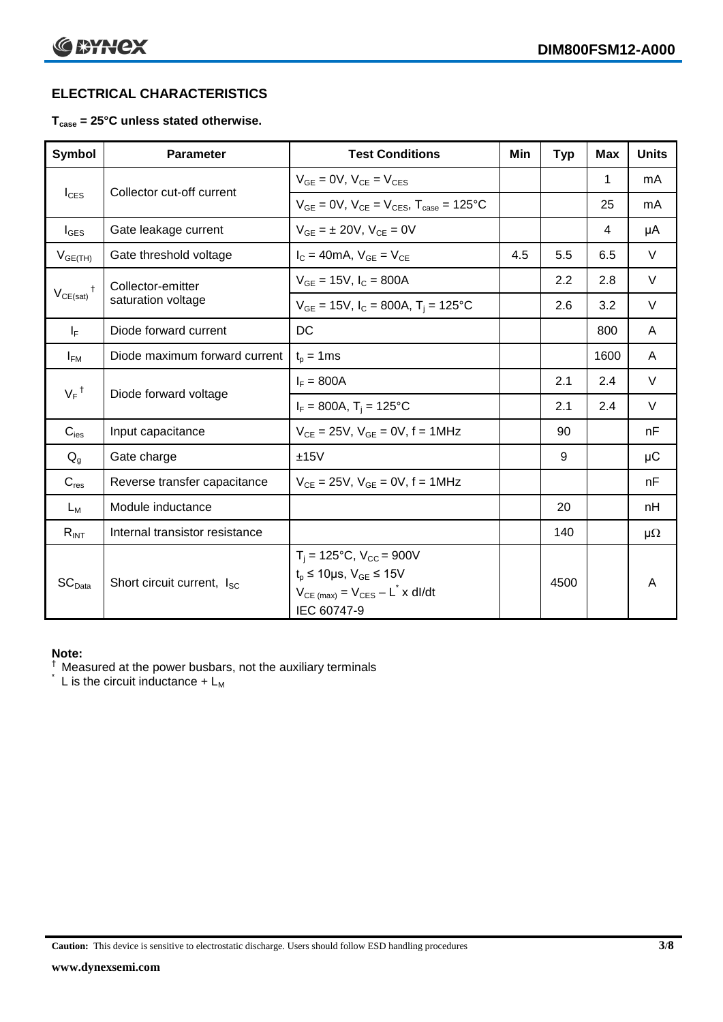# **ELECTRICAL CHARACTERISTICS**

#### **Tcase = 25°C unless stated otherwise.**

| <b>Symbol</b>      | <b>Parameter</b>                       | <b>Test Conditions</b>                                                                                                                                 | Min | <b>Typ</b> | <b>Max</b> | <b>Units</b> |
|--------------------|----------------------------------------|--------------------------------------------------------------------------------------------------------------------------------------------------------|-----|------------|------------|--------------|
|                    |                                        | $V_{GF} = 0V$ , $V_{CE} = V_{CES}$                                                                                                                     |     |            | 1          | mA           |
| $I_{\text{CES}}$   | Collector cut-off current              | $V_{GF} = 0V$ , $V_{CF} = V_{CES}$ , $T_{case} = 125^{\circ}C$                                                                                         |     |            | 25         | mA           |
| $I_{\text{GES}}$   | Gate leakage current                   | $V_{GF} = \pm 20V$ , $V_{CF} = 0V$                                                                                                                     |     |            | 4          | μA           |
| $V_{GE(TH)}$       | Gate threshold voltage                 | $I_C = 40mA$ , $V_{GE} = V_{CE}$                                                                                                                       | 4.5 | 5.5        | 6.5        | $\vee$       |
|                    | Collector-emitter                      | $V_{GE} = 15V$ , $I_C = 800A$                                                                                                                          |     | 2.2        | 2.8        | $\vee$       |
| $V_{CE(sat)}$      | saturation voltage                     | $V_{GE}$ = 15V, $I_C$ = 800A, $T_i$ = 125°C                                                                                                            |     | 2.6        | 3.2        | $\vee$       |
| $I_F$              | Diode forward current                  | DC                                                                                                                                                     |     |            | 800        | A            |
| $I_{FM}$           | Diode maximum forward current          | $t_p = 1$ ms                                                                                                                                           |     |            | 1600       | A            |
|                    |                                        | $I_F = 800A$                                                                                                                                           |     | 2.1        | 2.4        | $\vee$       |
| $V_F$ <sup>†</sup> | Diode forward voltage                  | $I_F = 800A$ , $T_i = 125^{\circ}C$                                                                                                                    |     | 2.1        | 2.4        | $\vee$       |
| $C_{\text{ies}}$   | Input capacitance                      | $V_{CE} = 25V$ , $V_{GE} = 0V$ , f = 1MHz                                                                                                              |     | 90         |            | nF           |
| $Q_q$              | Gate charge                            | ±15V                                                                                                                                                   |     | 9          |            | μC           |
| $C_{res}$          | Reverse transfer capacitance           | $V_{CF} = 25V$ , $V_{GF} = 0V$ , f = 1MHz                                                                                                              |     |            |            | nF           |
| $L_M$              | Module inductance                      |                                                                                                                                                        |     | 20         |            | nH           |
| $R_{INT}$          | Internal transistor resistance         |                                                                                                                                                        |     | 140        |            | $\mu\Omega$  |
| SC <sub>Data</sub> | Short circuit current, I <sub>SC</sub> | $T_i = 125$ °C, V <sub>CC</sub> = 900V<br>$t_p \le 10 \mu s$ , $V_{GE} \le 15 V$<br>$V_{CE \text{ (max)}} = V_{CES} - L^* \times dl/dt$<br>IEC 60747-9 |     | 4500       |            | A            |

#### **Note:**

 $\dagger$  Measured at the power busbars, not the auxiliary terminals

 $\check{}$  L is the circuit inductance +  $L_M$ 

**Caution:** This device is sensitive to electrostatic discharge. Users should follow ESD handling procedures **3/8**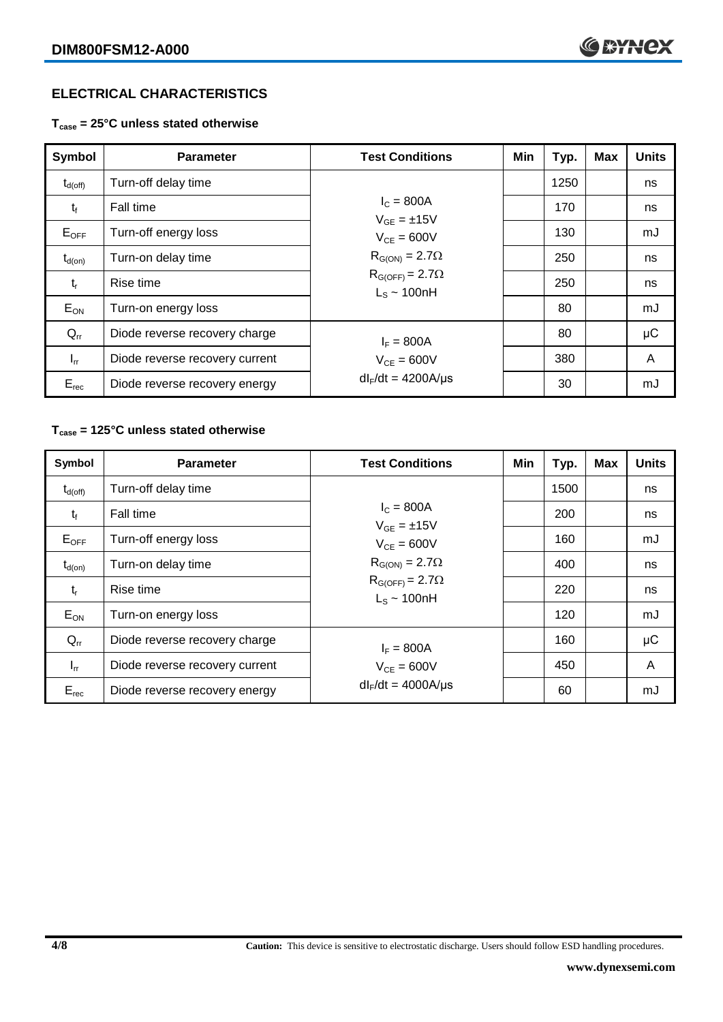# **ELECTRICAL CHARACTERISTICS**

**Tcase = 25°C unless stated otherwise**

| Symbol              | <b>Parameter</b>               | <b>Test Conditions</b>                                                  | Min | Typ. | <b>Max</b> | <b>Units</b> |
|---------------------|--------------------------------|-------------------------------------------------------------------------|-----|------|------------|--------------|
| $t_{d(\text{off})}$ | Turn-off delay time            |                                                                         |     | 1250 |            | ns           |
| $t_{\rm f}$         | Fall time                      | $I_{C} = 800A$<br>$V_{GF} = \pm 15V$                                    |     | 170  |            | ns           |
| $E_{OFF}$           | Turn-off energy loss           | $V_{CF} = 600V$                                                         |     | 130  |            | mJ           |
| $t_{d(on)}$         | Turn-on delay time             | $R_{G(ON)} = 2.7\Omega$<br>$R_{G(OFF)} = 2.7\Omega$<br>$L_s \sim 100nH$ |     | 250  |            | ns           |
| $t_{r}$             | Rise time                      |                                                                         |     | 250  |            | ns           |
| $E_{ON}$            | Turn-on energy loss            |                                                                         |     | 80   |            | mJ           |
| $Q_{rr}$            | Diode reverse recovery charge  | $I_F = 800A$                                                            |     | 80   |            | $\mu$ C      |
| $I_{rr}$            | Diode reverse recovery current | $V_{CF} = 600V$                                                         |     | 380  |            | A            |
| $E_{rec}$           | Diode reverse recovery energy  | $dl_F/dt = 4200A/\mu s$                                                 |     | 30   |            | mJ           |

#### **Tcase = 125°C unless stated otherwise**

| Symbol              | <b>Parameter</b>               | <b>Test Conditions</b>                                                  | Min | Typ. | <b>Max</b> | <b>Units</b> |
|---------------------|--------------------------------|-------------------------------------------------------------------------|-----|------|------------|--------------|
| $t_{d(\text{off})}$ | Turn-off delay time            |                                                                         |     | 1500 |            | ns           |
| $t_{f}$             | Fall time                      | $I_{C} = 800A$<br>$V_{GF} = \pm 15V$                                    |     | 200  |            | ns           |
| $E_{OFF}$           | Turn-off energy loss           | $V_{CF} = 600V$                                                         |     | 160  |            | mJ           |
| $t_{d(on)}$         | Turn-on delay time             | $R_{G(ON)} = 2.7\Omega$<br>$R_{G(OFF)} = 2.7\Omega$<br>$L_s \sim 100nH$ |     | 400  |            | ns           |
| $t_{r}$             | Rise time                      |                                                                         |     | 220  |            | ns           |
| $E_{ON}$            | Turn-on energy loss            |                                                                         |     | 120  |            | mJ           |
| $Q_{rr}$            | Diode reverse recovery charge  | $I_F = 800A$                                                            |     | 160  |            | μC           |
| $I_{rr}$            | Diode reverse recovery current | $V_{CF} = 600V$                                                         |     | 450  |            | A            |
| $E_{rec}$           | Diode reverse recovery energy  | $dl_F/dt = 4000A/\mu s$                                                 |     | 60   |            | mJ           |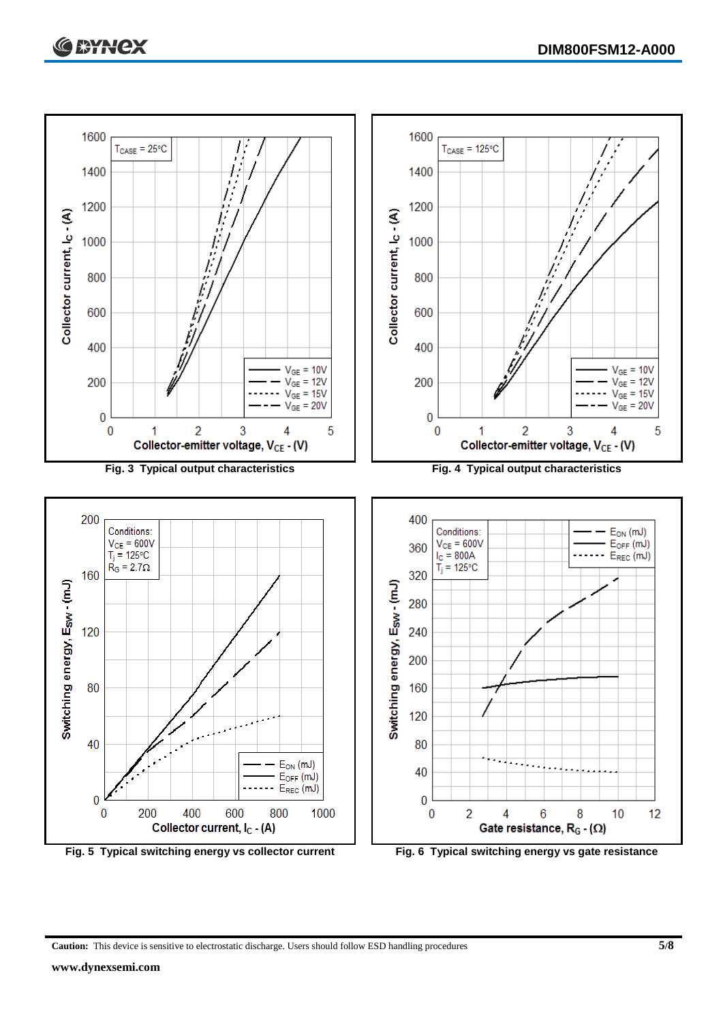



**Caution:** This device is sensitive to electrostatic discharge. Users should follow ESD handling procedures **5/8**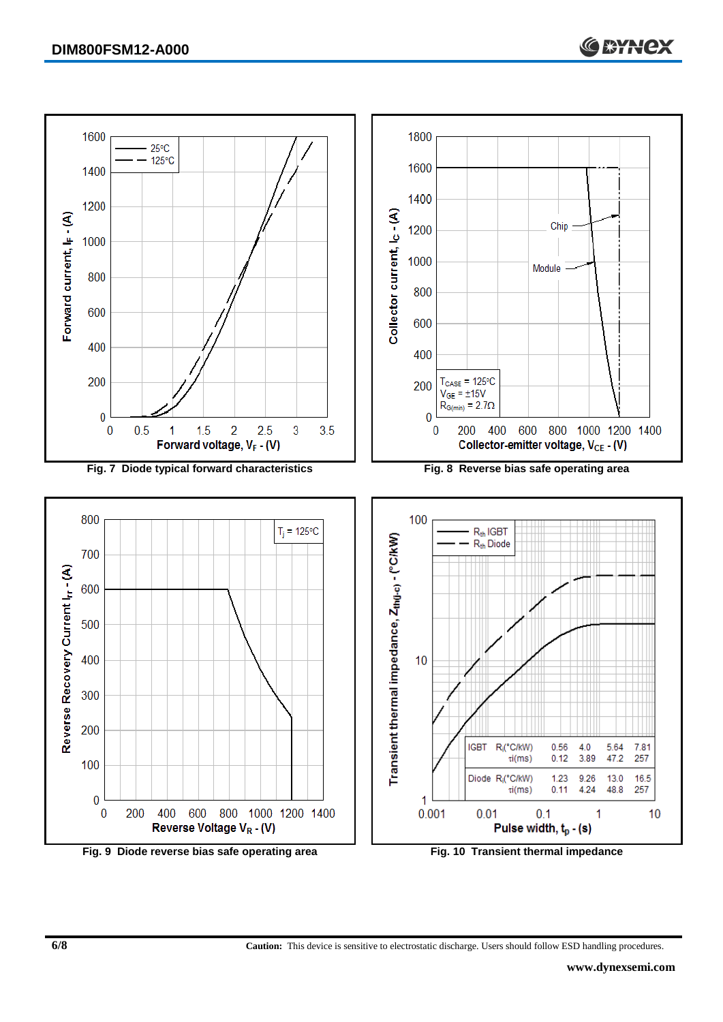

**Fig. 9 Diode reverse bias safe operating area Fig. 10 Transient thermal impedance**

**6/8 Caution:** This device is sensitive to electrostatic discharge. Users should follow ESD handling procedures.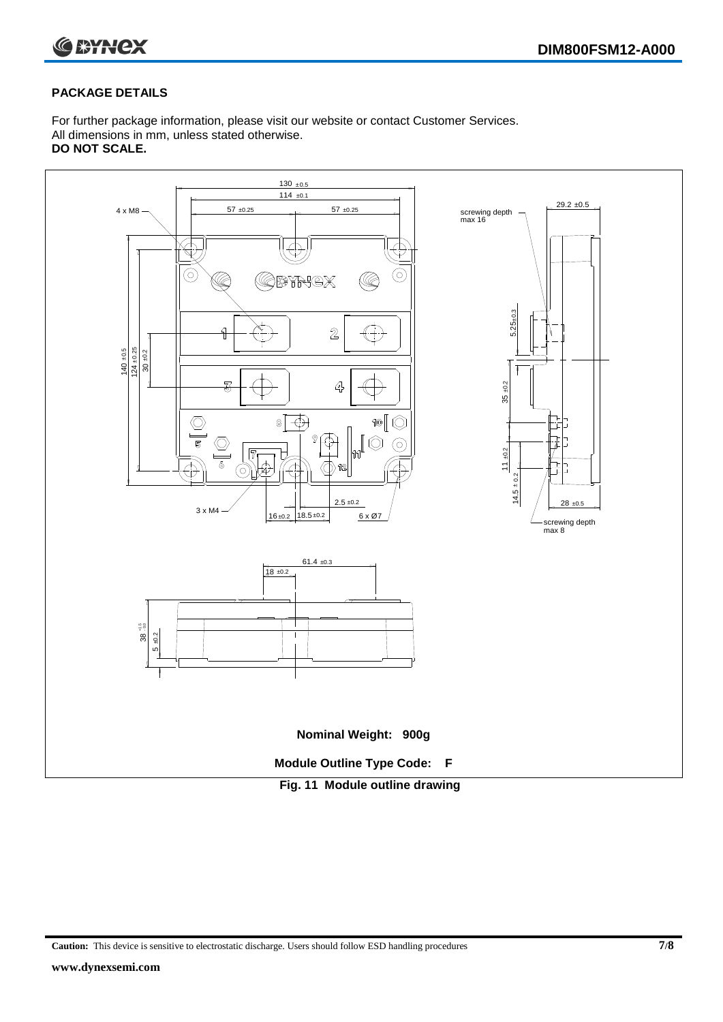



#### **PACKAGE DETAILS**

For further package information, please visit our website or contact Customer Services. All dimensions in mm, unless stated otherwise. **DO NOT SCALE.**



**Caution:** This device is sensitive to electrostatic discharge. Users should follow ESD handling procedures **7/8**